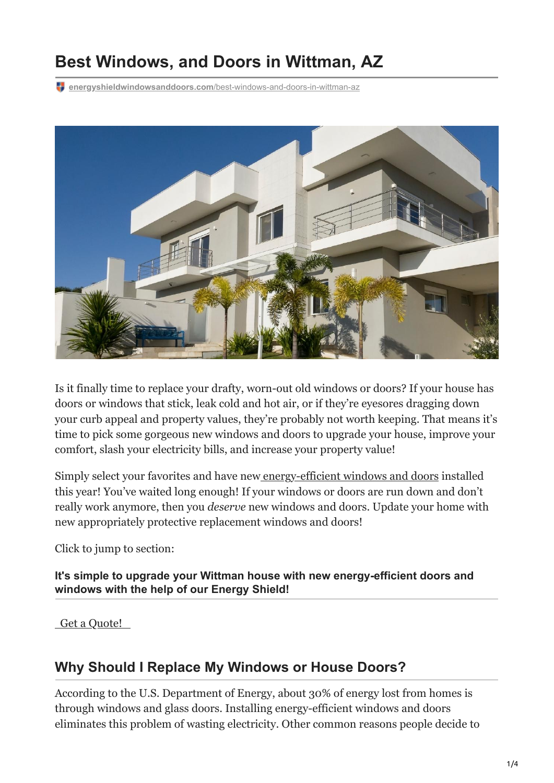# **Best Windows, and Doors in Wittman, AZ**

**energyshieldwindowsanddoors.com**[/best-windows-and-doors-in-wittman-az](https://energyshieldwindowsanddoors.com/best-windows-and-doors-in-wittman-az/)



Is it finally time to replace your drafty, worn-out old windows or doors? If your house has doors or windows that stick, leak cold and hot air, or if they're eyesores dragging down your curb appeal and property values, they're probably not worth keeping. That means it's time to pick some gorgeous new windows and doors to upgrade your house, improve your comfort, slash your electricity bills, and increase your property value!

Simply select your favorites and have new [energy-efficient windows and doors](https://energyshieldwindowsanddoors.com/roi-in-energy-efficient-replacement-windows/) installed this year! You've waited long enough! If your windows or doors are run down and don't really work anymore, then you *deserve* new windows and doors. Update your home with new appropriately protective replacement windows and doors!

Click to jump to section:

**It's simple to upgrade your Wittman house with new energy-efficient doors and windows with the help of our Energy Shield!**

 [Get a Quote!](https://energyshieldwindowsanddoors.com/contact/) 

## **Why Should I Replace My Windows or House Doors?**

According to the U.S. Department of Energy, about 30% of energy lost from homes is through windows and glass doors. Installing energy-efficient windows and doors eliminates this problem of wasting electricity. Other common reasons people decide to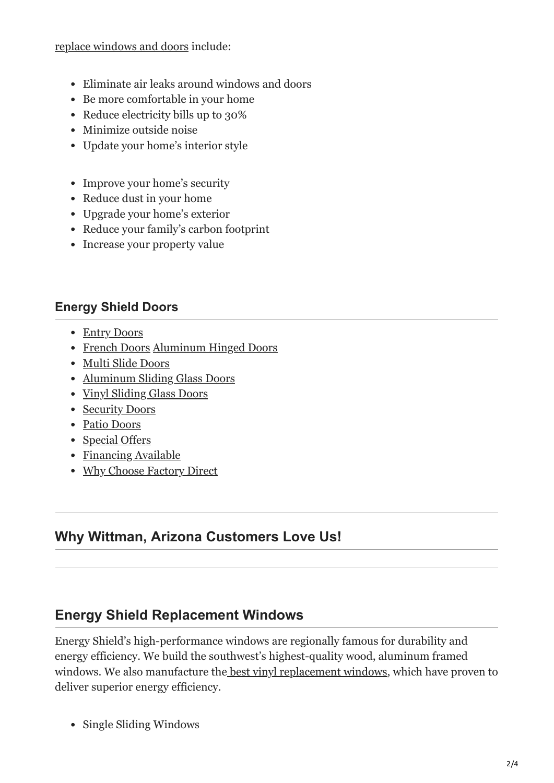#### [replace windows and doors](https://energyshieldwindowsanddoors.com/how-do-the-old-doors-compare-with-new-ones-on-the-market/) include:

- Eliminate air leaks around windows and doors
- Be more comfortable in your home
- Reduce electricity bills up to 30%
- Minimize outside noise
- Update your home's interior style
- Improve your home's security
- Reduce dust in your home
- Upgrade your home's exterior
- Reduce your family's carbon footprint
- Increase your property value

#### **Energy Shield Doors**

- [Entry Doors](https://energyshieldwindowsanddoors.com/entry-doors/)
- [French Doors](https://energyshieldwindowsanddoors.com/french-doors/) [Aluminum Hinged Doors](https://energyshieldwindowsanddoors.com/aluminum-hinged-doors/)
- [Multi Slide Doors](https://energyshieldwindowsanddoors.com/multi-slide-doors/)
- [Aluminum Sliding Glass Doors](https://energyshieldwindowsanddoors.com/aluminum-sliding-glass-doors/)
- [Vinyl Sliding Glass Doors](https://energyshieldwindowsanddoors.com/vinyl-sliding-glass-doors/)
- [Security Doors](https://energyshieldwindowsanddoors.com/security-doors/)
- [Patio Doors](https://energyshieldwindowsanddoors.com/patio-doors-arizona/)
- [Special Offers](https://energyshieldwindowsanddoors.com/special-offers/)
- [Financing Available](https://energyshieldwindowsanddoors.com/0-financing-windows-doors-arizona/)
- [Why Choose Factory Direct](https://energyshieldwindowsanddoors.com/factory-direct-windows-doors-arizona/)

## **Why Wittman, Arizona Customers Love Us!**

## **Energy Shield Replacement Windows**

Energy Shield's high-performance windows are regionally famous for durability and energy efficiency. We build the southwest's highest-quality wood, aluminum framed windows. We also manufacture the [best vinyl replacement windows](https://energyshieldwindowsanddoors.com/vinyl-windows-arizona/), which have proven to deliver superior energy efficiency.

• Single Sliding Windows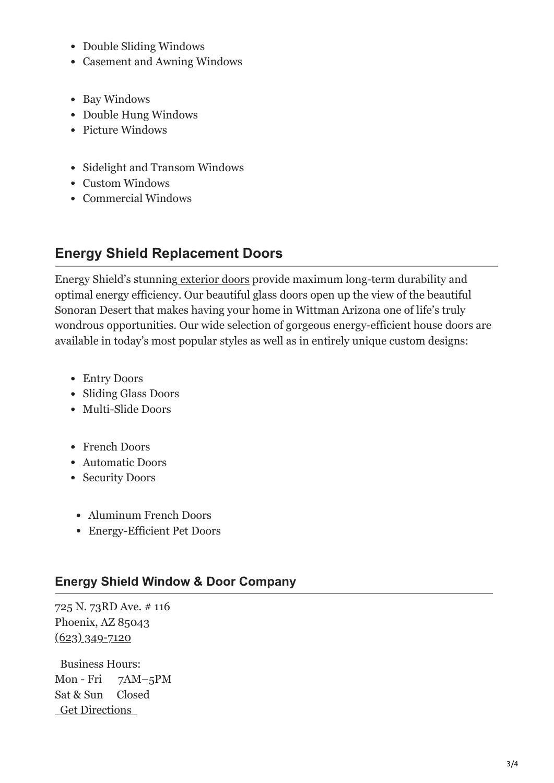- Double Sliding Windows
- Casement and Awning Windows
- Bay Windows
- Double Hung Windows
- Picture Windows
- Sidelight and Transom Windows
- Custom Windows
- Commercial Windows

## **Energy Shield Replacement Doors**

Energy Shield's stunning [exterior doors](https://energyshieldwindowsanddoors.com/door-replacement-arizona/) provide maximum long-term durability and optimal energy efficiency. Our beautiful glass doors open up the view of the beautiful Sonoran Desert that makes having your home in Wittman Arizona one of life's truly wondrous opportunities. Our wide selection of gorgeous energy-efficient house doors are available in today's most popular styles as well as in entirely unique custom designs:

- Entry Doors
- Sliding Glass Doors
- Multi-Slide Doors
- French Doors
- Automatic Doors
- Security Doors
- Aluminum French Doors
- Energy-Efficient Pet Doors

#### **Energy Shield Window & Door Company**

725 N. 73RD Ave. # 116 Phoenix, AZ 85043  $(623)$  349-7120

Business Hours: Mon - Fri 7AM–5PM Sat & Sun Closed  [Get Directions](https://goo.gl/maps/MatYx2Wm1pDFzNv97)